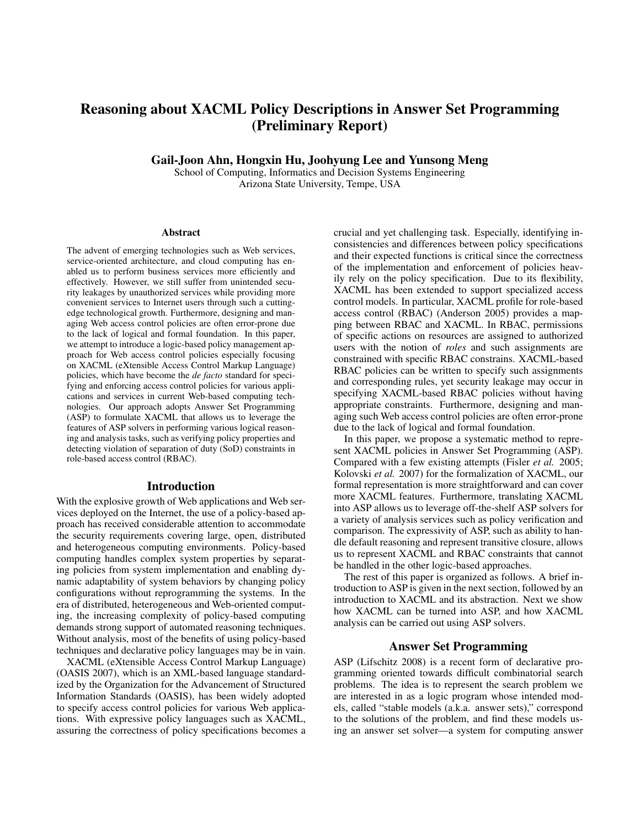# Reasoning about XACML Policy Descriptions in Answer Set Programming (Preliminary Report)

Gail-Joon Ahn, Hongxin Hu, Joohyung Lee and Yunsong Meng

School of Computing, Informatics and Decision Systems Engineering Arizona State University, Tempe, USA

#### **Abstract**

The advent of emerging technologies such as Web services, service-oriented architecture, and cloud computing has enabled us to perform business services more efficiently and effectively. However, we still suffer from unintended security leakages by unauthorized services while providing more convenient services to Internet users through such a cuttingedge technological growth. Furthermore, designing and managing Web access control policies are often error-prone due to the lack of logical and formal foundation. In this paper, we attempt to introduce a logic-based policy management approach for Web access control policies especially focusing on XACML (eXtensible Access Control Markup Language) policies, which have become the *de facto* standard for specifying and enforcing access control policies for various applications and services in current Web-based computing technologies. Our approach adopts Answer Set Programming (ASP) to formulate XACML that allows us to leverage the features of ASP solvers in performing various logical reasoning and analysis tasks, such as verifying policy properties and detecting violation of separation of duty (SoD) constraints in role-based access control (RBAC).

#### Introduction

With the explosive growth of Web applications and Web services deployed on the Internet, the use of a policy-based approach has received considerable attention to accommodate the security requirements covering large, open, distributed and heterogeneous computing environments. Policy-based computing handles complex system properties by separating policies from system implementation and enabling dynamic adaptability of system behaviors by changing policy configurations without reprogramming the systems. In the era of distributed, heterogeneous and Web-oriented computing, the increasing complexity of policy-based computing demands strong support of automated reasoning techniques. Without analysis, most of the benefits of using policy-based techniques and declarative policy languages may be in vain.

XACML (eXtensible Access Control Markup Language) (OASIS 2007), which is an XML-based language standardized by the Organization for the Advancement of Structured Information Standards (OASIS), has been widely adopted to specify access control policies for various Web applications. With expressive policy languages such as XACML, assuring the correctness of policy specifications becomes a

crucial and yet challenging task. Especially, identifying inconsistencies and differences between policy specifications and their expected functions is critical since the correctness of the implementation and enforcement of policies heavily rely on the policy specification. Due to its flexibility, XACML has been extended to support specialized access control models. In particular, XACML profile for role-based access control (RBAC) (Anderson 2005) provides a mapping between RBAC and XACML. In RBAC, permissions of specific actions on resources are assigned to authorized users with the notion of *roles* and such assignments are constrained with specific RBAC constrains. XACML-based RBAC policies can be written to specify such assignments and corresponding rules, yet security leakage may occur in specifying XACML-based RBAC policies without having appropriate constraints. Furthermore, designing and managing such Web access control policies are often error-prone due to the lack of logical and formal foundation.

In this paper, we propose a systematic method to represent XACML policies in Answer Set Programming (ASP). Compared with a few existing attempts (Fisler *et al.* 2005; Kolovski *et al.* 2007) for the formalization of XACML, our formal representation is more straightforward and can cover more XACML features. Furthermore, translating XACML into ASP allows us to leverage off-the-shelf ASP solvers for a variety of analysis services such as policy verification and comparison. The expressivity of ASP, such as ability to handle default reasoning and represent transitive closure, allows us to represent XACML and RBAC constraints that cannot be handled in the other logic-based approaches.

The rest of this paper is organized as follows. A brief introduction to ASP is given in the next section, followed by an introduction to XACML and its abstraction. Next we show how XACML can be turned into ASP, and how XACML analysis can be carried out using ASP solvers.

#### Answer Set Programming

ASP (Lifschitz 2008) is a recent form of declarative programming oriented towards difficult combinatorial search problems. The idea is to represent the search problem we are interested in as a logic program whose intended models, called "stable models (a.k.a. answer sets)," correspond to the solutions of the problem, and find these models using an answer set solver—a system for computing answer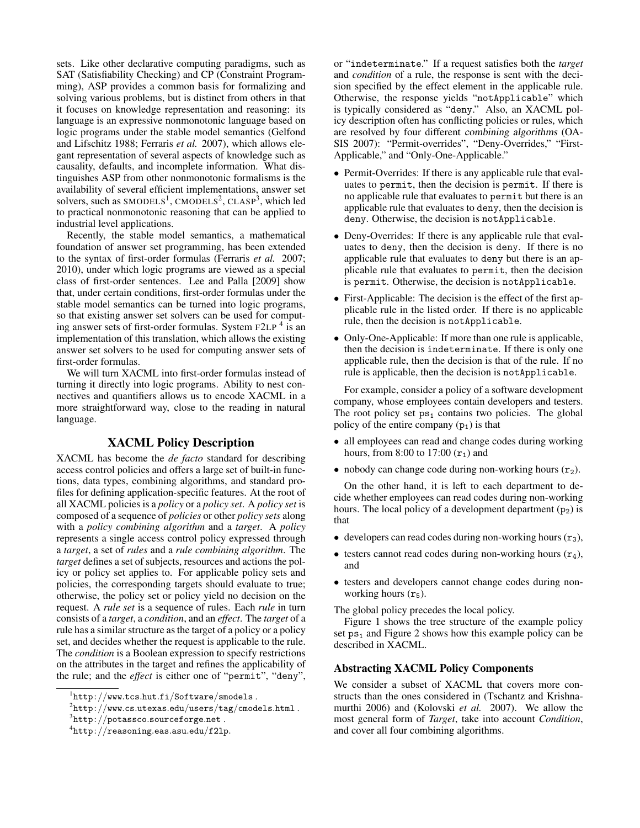sets. Like other declarative computing paradigms, such as SAT (Satisfiability Checking) and CP (Constraint Programming), ASP provides a common basis for formalizing and solving various problems, but is distinct from others in that it focuses on knowledge representation and reasoning: its language is an expressive nonmonotonic language based on logic programs under the stable model semantics (Gelfond and Lifschitz 1988; Ferraris *et al.* 2007), which allows elegant representation of several aspects of knowledge such as causality, defaults, and incomplete information. What distinguishes ASP from other nonmonotonic formalisms is the availability of several efficient implementations, answer set solvers, such as  $SMODELS<sup>1</sup>$ ,  $CMODELS<sup>2</sup>$ ,  $CLASP<sup>3</sup>$ , which led to practical nonmonotonic reasoning that can be applied to industrial level applications.

Recently, the stable model semantics, a mathematical foundation of answer set programming, has been extended to the syntax of first-order formulas (Ferraris *et al.* 2007; 2010), under which logic programs are viewed as a special class of first-order sentences. Lee and Palla [2009] show that, under certain conditions, first-order formulas under the stable model semantics can be turned into logic programs, so that existing answer set solvers can be used for computing answer sets of first-order formulas. System F2LP<sup>4</sup> is an implementation of this translation, which allows the existing answer set solvers to be used for computing answer sets of first-order formulas.

We will turn XACML into first-order formulas instead of turning it directly into logic programs. Ability to nest connectives and quantifiers allows us to encode XACML in a more straightforward way, close to the reading in natural language.

# XACML Policy Description

XACML has become the *de facto* standard for describing access control policies and offers a large set of built-in functions, data types, combining algorithms, and standard profiles for defining application-specific features. At the root of all XACML policies is a *policy* or a *policy set*. A *policy set* is composed of a sequence of *policies* or other *policy sets* along with a *policy combining algorithm* and a *target*. A *policy* represents a single access control policy expressed through a *target*, a set of *rules* and a *rule combining algorithm*. The *target* defines a set of subjects, resources and actions the policy or policy set applies to. For applicable policy sets and policies, the corresponding targets should evaluate to true; otherwise, the policy set or policy yield no decision on the request. A *rule set* is a sequence of rules. Each *rule* in turn consists of a *target*, a *condition*, and an *effect*. The *target* of a rule has a similar structure as the target of a policy or a policy set, and decides whether the request is applicable to the rule. The *condition* is a Boolean expression to specify restrictions on the attributes in the target and refines the applicability of the rule; and the *effect* is either one of "permit", "deny",

or "indeterminate." If a request satisfies both the *target* and *condition* of a rule, the response is sent with the decision specified by the effect element in the applicable rule. Otherwise, the response yields "notApplicable" which is typically considered as "deny." Also, an XACML policy description often has conflicting policies or rules, which are resolved by four different combining algorithms (OA-SIS 2007): "Permit-overrides", "Deny-Overrides," "First-Applicable," and "Only-One-Applicable."

- Permit-Overrides: If there is any applicable rule that evaluates to permit, then the decision is permit. If there is no applicable rule that evaluates to permit but there is an applicable rule that evaluates to deny, then the decision is deny. Otherwise, the decision is notApplicable.
- Deny-Overrides: If there is any applicable rule that evaluates to deny, then the decision is deny. If there is no applicable rule that evaluates to deny but there is an applicable rule that evaluates to permit, then the decision is permit. Otherwise, the decision is notApplicable.
- First-Applicable: The decision is the effect of the first applicable rule in the listed order. If there is no applicable rule, then the decision is notApplicable.
- Only-One-Applicable: If more than one rule is applicable, then the decision is indeterminate. If there is only one applicable rule, then the decision is that of the rule. If no rule is applicable, then the decision is notApplicable.

For example, consider a policy of a software development company, whose employees contain developers and testers. The root policy set  $ps_1$  contains two policies. The global policy of the entire company  $(p_1)$  is that

- all employees can read and change codes during working hours, from 8:00 to 17:00  $({\bf r}_1)$  and
- nobody can change code during non-working hours  $(r_2)$ .

On the other hand, it is left to each department to decide whether employees can read codes during non-working hours. The local policy of a development department  $(p_2)$  is that

- developers can read codes during non-working hours  $(r_3)$ ,
- testers cannot read codes during non-working hours  $(r_4)$ , and
- testers and developers cannot change codes during nonworking hours  $(r<sub>5</sub>)$ .

The global policy precedes the local policy.

Figure 1 shows the tree structure of the example policy set  $ps<sub>1</sub>$  and Figure 2 shows how this example policy can be described in XACML.

# Abstracting XACML Policy Components

We consider a subset of XACML that covers more constructs than the ones considered in (Tschantz and Krishnamurthi 2006) and (Kolovski *et al.* 2007). We allow the most general form of *Target*, take into account *Condition*, and cover all four combining algorithms.

 $1$ http://www.tcs.hut.fi/Software/smodels.

 $^2$ http://www.cs.utexas.edu/users/tag/cmodels.html .

 $^3$ http://potassco.sourceforge.net.

 ${}^{4}$ http://reasoning.eas.asu.edu/f2lp.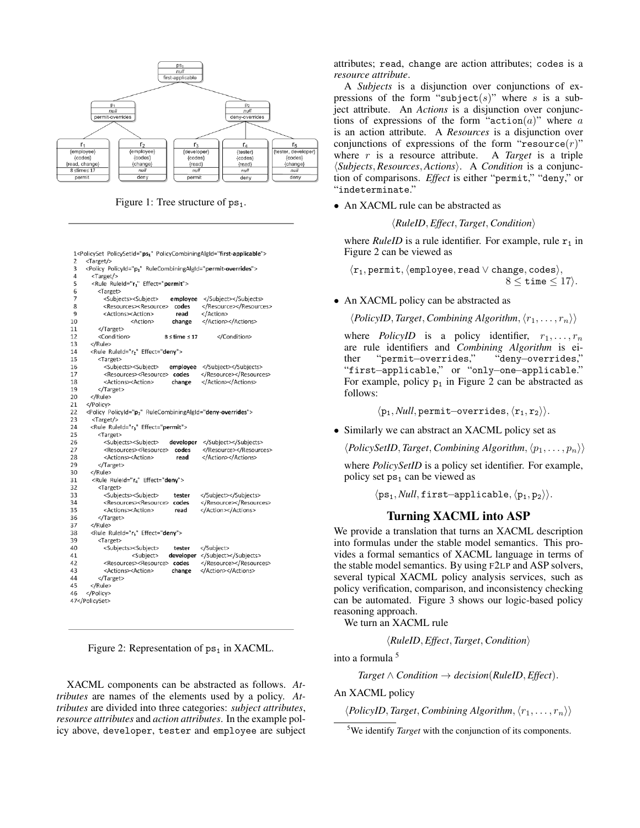

Figure 1: Tree structure of  $ps_1$ .

<Target/>  $\overline{a}$ <Policy PolicyId="p1" RuleCombiningAlgId="permit-overrides">  $\overline{4}$ <Target/> <Rule RuleId="r1" Effect="permit">  $\overline{\phantom{a}}$ 6 <Target> <Subjects><Subject> </Subject></Subjects> employee 8 <Resources><Resource> codes </Resource></Resources>  $\mathbf{q}$ <Actions><Action> read </Action>  $10$ </Action></Actions> <Action> change  $\overline{11}$ </Target>  $12$ </Condition> <Condition>  $8 \leq$  time  $\leq 17$  $\begin{array}{c} 13 \\ 14 \end{array}$  $\epsilon$ /Rules <Rule RuleId="r<sub>2</sub>" Effect="deny">

1<PolicySet PolicySetId="ps1" PolicyCombiningAlgId="first-applicable">

```
\overline{15}<Target>
16
            <Subjects><Subject>
                                                  </Subject></Subjects>
                                     employee
17<Resources><Resource> codes
                                                 </Resource></Resources>
                                                 </Action></Actions>
18
            <Actions><Action>
                                      change
19
          </Target>
20
       </Rule>
21</Policy>
\overline{22}<Policy PolicyId="p2" RuleCombiningAlgId="deny-overrides">
\overline{23}<Target/>
\frac{24}{25}<Rule RuleId="r3" Effect="permit">
          <Target>
\overline{26}<Subjects><Subject>
                                                  </Subject></Subjects>
                                     developer
27
             <Resources><Resource>
                                      codes
                                                  </Resource></Resources>
28<br>29
            <Actions><Action>
                                        read
                                                  </Action></Actions>
          </Target>
\frac{1}{30}</Rule>
31
        <Rule RuleId="r4" Effect="deny">
32
          <Target>
33
                                                 </Subiect></Subiects>
            <Subiects><Subiect>
                                       tester
34
            <Resources><Resource> codes
                                                 </Resource></Resources>
35
            <Actions><Action>
                                                 </Action></Actions>
                                       read
36<br>37
          </Target>
       </Rule>
38
        <Rule RuleId="r<sub>s</sub>" Effect="deny">
39
          <Target>
40
            <Subjects><Subject>
                                       tester
                                                 </Subject>
41
                                    developer
                                                 </Subject></Subjects>
                       <Subiect>
42<Resources><Resource> codes
                                                 </Resource></Resources>
43
            <Actions><Action>
                                      change
                                                 </Action></Actions>
          </Target>
44
45
       </Rule>
46
     </Policy>
47</PolicySet>
```
Figure 2: Representation of  $ps_1$  in XACML.

XACML components can be abstracted as follows. *Attributes* are names of the elements used by a policy. *Attributes* are divided into three categories: *subject attributes*, *resource attributes* and *action attributes*. In the example policy above, developer, tester and employee are subject

attributes; read, change are action attributes; codes is a *resource attribute*.

A *Subjects* is a disjunction over conjunctions of expressions of the form "subject(s)" where s is a subject attribute. An *Actions* is a disjunction over conjunctions of expressions of the form "action( $a$ )" where  $a$ is an action attribute. A *Resources* is a disjunction over conjunctions of expressions of the form "resource(r)" where r is a resource attribute. A Target is a triple where  $r$  is a resource attribute.  $\langle Subjects, Resources, Actions \rangle$ . A *Condition* is a conjunction of comparisons. *Effect* is either "permit," "deny," or "indeterminate."

• An XACML rule can be abstracted as

```
\langle RuleID, Effect, Target, Condition \rangle
```
where *RuleID* is a rule identifier. For example, rule  $r_1$  in Figure 2 can be viewed as

 $\langle r_1, \text{permit}, \langle \text{employee}, \text{read} \lor \text{change}, \text{codes} \rangle,$  $8 \leq$  time  $\leq$  17).

• An XACML policy can be abstracted as

 $\langle PolicyID, Target, Combining Algorithm, \langle r_1, \ldots, r_n \rangle \rangle$ 

where *PolicyID* is a policy identifier,  $r_1, \ldots, r_n$ are rule identifiers and *Combining Algorithm* is either "permit−overrides," "deny−overrides," "first−applicable," or "only−one−applicable." For example, policy  $p_1$  in Figure 2 can be abstracted as follows:

 $\langle p_1, Null,$  permit–overrides,  $\langle r_1, r_2 \rangle$ .

• Similarly we can abstract an XACML policy set as

 $\langle PolicySetID, Target, Combining Algorithm, \langle p_1, \ldots, p_n \rangle \rangle$ 

where *PolicySetID* is a policy set identifier. For example, policy set  $ps_1$  can be viewed as

 $\langle ps_1, Null, first–applicable, \langle p_1, p_2 \rangle \rangle.$ 

# Turning XACML into ASP

We provide a translation that turns an XACML description into formulas under the stable model semantics. This provides a formal semantics of XACML language in terms of the stable model semantics. By using F2LP and ASP solvers, several typical XACML policy analysis services, such as policy verification, comparison, and inconsistency checking can be automated. Figure 3 shows our logic-based policy reasoning approach.

We turn an XACML rule

 $\langle RuleID, Effect, Target, Condition \rangle$ 

into a formula <sup>5</sup>

 $Target \wedge Condition \rightarrow decision(RuleID, Effect).$ 

An XACML policy

 $\langle \textit{PolicyID}, \textit{Target}, \textit{Combining Algorithm}, \langle r_1, \ldots, r_n \rangle \rangle$ 

<sup>5</sup>We identify *Target* with the conjunction of its components.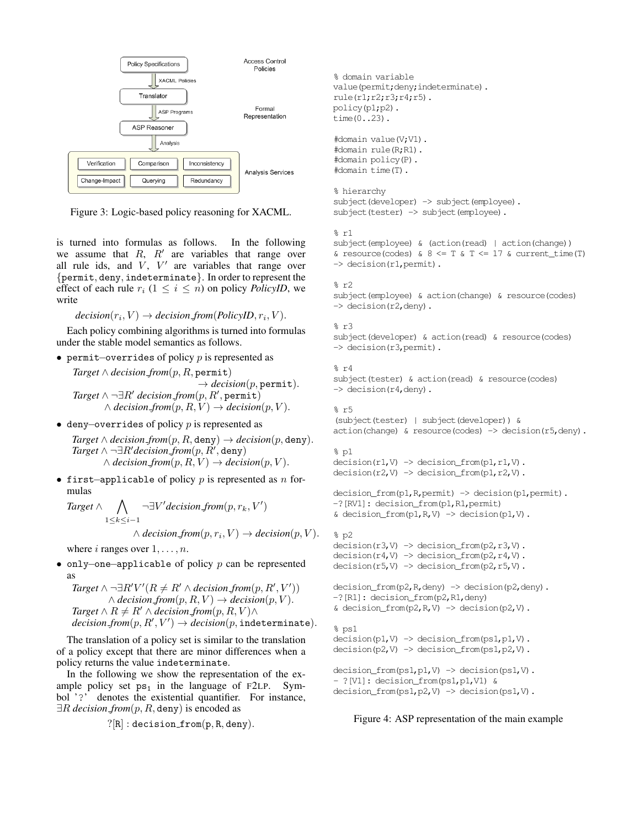

Figure 3: Logic-based policy reasoning for XACML.

is turned into formulas as follows. In the following we assume that  $R$ ,  $R'$  are variables that range over all rule ids, and  $V$ ,  $V'$  are variables that range over {permit, deny, indeterminate}. In order to represent the effect of each rule  $r_i$  ( $1 \le i \le n$ ) on policy *PolicyID*, we write

 $\text{decision}(r_i, V) \rightarrow \text{decision\_from}(PolicyID, r_i, V).$ 

Each policy combining algorithms is turned into formulas under the stable model semantics as follows.

• permit–overrides of policy  $p$  is represented as

 $Target \wedge decision\_from(p, R, \text{permit})$  $\rightarrow$  *decision*(*p*, permit).  $Target \wedge \neg \exists R' \ decision\_from(p, R', \mathtt{permit})$  $\land$  *decision\_from* $(p, R, V) \rightarrow$  *decision* $(p, V)$ *.* 

• deny–overrides of policy  $p$  is represented as

 $Target \wedge decision\_from(p, R, \text{deny}) \rightarrow decision(p, \text{deny}).$  $Target \wedge \neg \exists R'decision\_from(p, R', \text{deny})$  $\land$  *decision\_from* $(p, R, V) \rightarrow$  *decision* $(p, V)$ *.* 

• first–applicable of policy p is represented as n formulas

*Target* ∧  $\bigwedge$   $\neg \exists V' decision\ from(p, r_k, V')$  $1\leq k\leq i-1$ 

 $\land$  *decision\_from* $(p, r_i, V) \rightarrow decision(p, V)$ .

where i ranges over  $1, \ldots, n$ .

• only-one-applicable of policy  $p$  can be represented as

 $Target \wedge \neg \exists R' V' (R \neq R' \wedge decision\text{ from } (p, R', V'))$  $\land$  *decision\_from* $(p, R, V) \rightarrow$  *decision* $(p, V)$ *.*  $Target \wedge R \neq R' \wedge decision\_from(p, R, V) \wedge$  $\text{decision}\text{-}\text{from}(p,R',V') \rightarrow \text{decision}(p,\texttt{indeterminate}).$ 

The translation of a policy set is similar to the translation of a policy except that there are minor differences when a policy returns the value indeterminate.

In the following we show the representation of the example policy set  $ps_1$  in the language of F2LP. Symbol '?' denotes the existential quantifier. For instance, ∃R *decision from*(p, R, deny) is encoded as

```
?[R] : decision\_from(p, R, deny).
```

```
% domain variable
value(permit;deny;indeterminate).
rule(r1;r2;r3;r4;r5).
policy(p1;p2).
time(0..23).
#domain value(V;V1).
#domain rule(R;R1).
#domain policy(P).
#domain time(T).
% hierarchy
subject(developer) -> subject(employee).
subject(tester) -> subject(employee).
\frac{6}{6} r1
subject(employee) & (action(read) | action(change))
& resource(codes) & 8 \leq T & T \leq 17 & current_time(T)
-> decision(r1, permit).
\frac{6}{5} r2
subject(employee) & action(change) & resource(codes)
-> decision(r2,deny).
% r3
subject(developer) & action(read) & resource(codes)
-> decision(r3,permit).
\approx r4
subject(tester) & action(read) & resource(codes)
-> decision(r4,deny).
% r5(subject(tester) | subject(developer)) &
action(change) & resource(codes) \rightarrow decision(r5,deny).
$p1decision(r1, V) \rightarrow decision\_from(p1, r1, V).
decision(r2, V) \rightarrow decision\_from(p1, r2, V).
decision_from(p1,R,permit) -> decision(p1,permit).
-?[RV1]: decision_from(p1,R1,permit)
& decision_from(p1, R, V) \rightarrow decision(p1, V).
8p2decision(r3, V) \rightarrow decision\_from(p2, r3, V).
decision(r4,V) -> decision from(p2,r4,V).
decision(r5, V) \rightarrow decision\_from(p2, r5, V).
decision_from(p2,R,deny) -> decision(p2,deny).
-?[R1]: decision_from(p2,R1,deny)
& decision_from(p2, R, V) \rightarrow decision(p2, V).
% ps1
decision(p1, V) \rightarrow decision\_from(ps1, p1, V).
decision(p2,V) -> decision_from(ps1,p2,V).
decision_from(ps1,p1,V) -> decision(ps1,V).
- ?[V1]: decision_from(ps1,p1,V1) &
decision_from(ps1,p2,V) -> decision(ps1,V).
```
Figure 4: ASP representation of the main example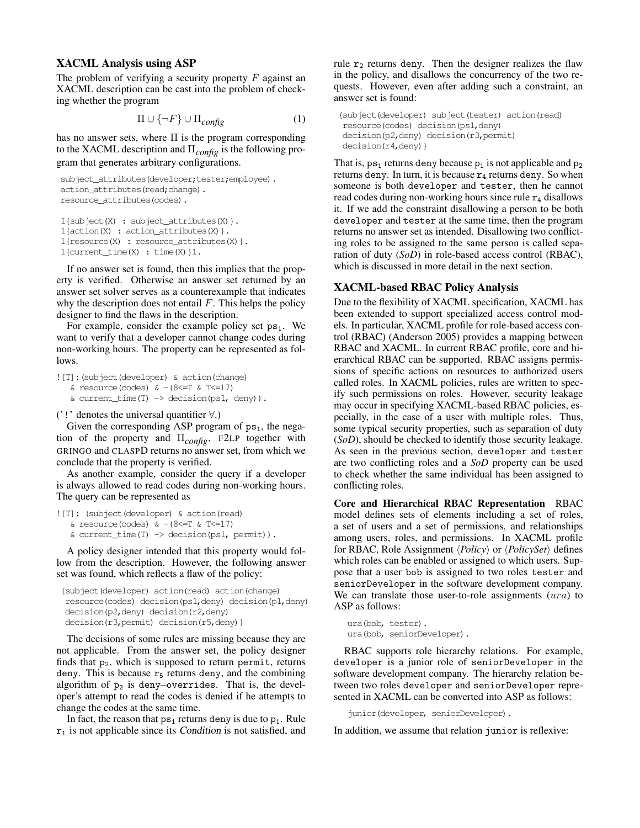# XACML Analysis using ASP

The problem of verifying a security property  $F$  against an XACML description can be cast into the problem of checking whether the program

$$
\Pi \cup \{\neg F\} \cup \Pi_{config} \tag{1}
$$

has no answer sets, where  $\Pi$  is the program corresponding to the XACML description and Π*config* is the following program that generates arbitrary configurations.

```
subject_attributes(developer;tester;employee).
action_attributes(read;change).
resource_attributes(codes).
```

```
1{subject(X) : subject_attributes(X)}.
1{action(X) : action_attributes(X)}.
1{resource(X) : resource_attributes(X)}.
1{current_time(X) : time(X)}1.
```
If no answer set is found, then this implies that the property is verified. Otherwise an answer set returned by an answer set solver serves as a counterexample that indicates why the description does not entail  $F$ . This helps the policy designer to find the flaws in the description.

For example, consider the example policy set  $ps<sub>1</sub>$ . We want to verify that a developer cannot change codes during non-working hours. The property can be represented as follows.

```
![T]:(subject(developer) & action(change)
   \& resource(codes) \& –(8<=T \& T<=17)
   \& current_time(T) \rightarrow decision(ps1, deny)).
```
('!' denotes the universal quantifier ∀.)

Given the corresponding ASP program of  $ps_1$ , the negation of the property and Π*config*, <sup>F</sup>2LP together with GRINGO and CLASPD returns no answer set, from which we conclude that the property is verified.

As another example, consider the query if a developer is always allowed to read codes during non-working hours. The query can be represented as

```
![T]: (subject(developer) & action(read)
   & resource(codes) & -(8 \leq T \leq T \leq 17)\& current_time(T) \rightarrow decision(ps1, permit)).
```
A policy designer intended that this property would follow from the description. However, the following answer set was found, which reflects a flaw of the policy:

```
{subject(developer) action(read) action(change)
resource(codes) decision(ps1,deny) decision(p1,deny)
decision(p2,deny) decision(r2,deny)
decision(r3, permit) decision(r5, deny) }
```
The decisions of some rules are missing because they are not applicable. From the answer set, the policy designer finds that  $p_2$ , which is supposed to return permit, returns deny. This is because  $r_5$  returns deny, and the combining algorithm of p<sup>2</sup> is deny−overrides. That is, the developer's attempt to read the codes is denied if he attempts to change the codes at the same time.

In fact, the reason that  $ps_1$  returns deny is due to  $p_1$ . Rule  $r_1$  is not applicable since its Condition is not satisfied, and

rule  $r_2$  returns deny. Then the designer realizes the flaw in the policy, and disallows the concurrency of the two requests. However, even after adding such a constraint, an answer set is found:

```
{subject(developer) subject(tester) action(read)
resource(codes) decision(ps1,deny)
decision(p2,deny) decision(r3,permit)
decision(r4,deny)}
```
That is,  $ps_1$  returns deny because  $p_1$  is not applicable and  $p_2$ returns deny. In turn, it is because  $r_4$  returns deny. So when someone is both developer and tester, then he cannot read codes during non-working hours since rule  $r_4$  disallows it. If we add the constraint disallowing a person to be both developer and tester at the same time, then the program returns no answer set as intended. Disallowing two conflicting roles to be assigned to the same person is called separation of duty (*SoD*) in role-based access control (RBAC), which is discussed in more detail in the next section.

# XACML-based RBAC Policy Analysis

Due to the flexibility of XACML specification, XACML has been extended to support specialized access control models. In particular, XACML profile for role-based access control (RBAC) (Anderson 2005) provides a mapping between RBAC and XACML. In current RBAC profile, core and hierarchical RBAC can be supported. RBAC assigns permissions of specific actions on resources to authorized users called roles. In XACML policies, rules are written to specify such permissions on roles. However, security leakage may occur in specifying XACML-based RBAC policies, especially, in the case of a user with multiple roles. Thus, some typical security properties, such as separation of duty (*SoD*), should be checked to identify those security leakage. As seen in the previous section, developer and tester are two conflicting roles and a *SoD* property can be used to check whether the same individual has been assigned to conflicting roles.

Core and Hierarchical RBAC Representation RBAC model defines sets of elements including a set of roles, a set of users and a set of permissions, and relationships among users, roles, and permissions. In XACML profile for RBAC, Role Assignment  $\langle Policy\rangle$  or  $\langle PolicySet\rangle$  defines which roles can be enabled or assigned to which users. Suppose that a user bob is assigned to two roles tester and seniorDeveloper in the software development company. We can translate those user-to-role assignments (ura) to ASP as follows:

```
ura(bob, tester).
ura(bob, seniorDeveloper).
```
RBAC supports role hierarchy relations. For example, developer is a junior role of seniorDeveloper in the software development company. The hierarchy relation between two roles developer and seniorDeveloper represented in XACML can be converted into ASP as follows:

junior(developer, seniorDeveloper).

In addition, we assume that relation junior is reflexive: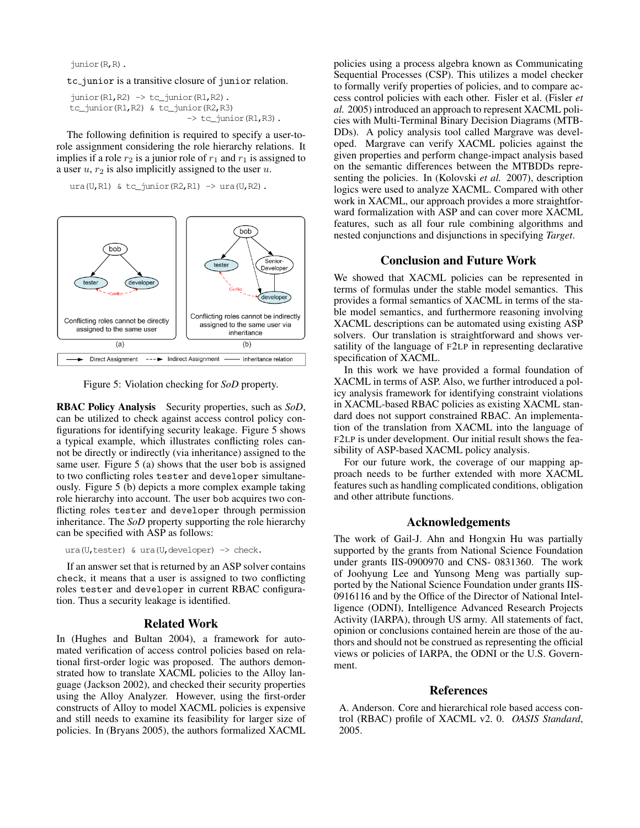junior(R,R).

#### tc junior is a transitive closure of junior relation.

```
junior(R1,R2) \rightarrow tc_junior(R1,R2).
tc_junior(R1,R2) & tc_junior(R2,R3)
                              \rightarrow tc junior(R1,R3).
```
The following definition is required to specify a user-torole assignment considering the role hierarchy relations. It implies if a role  $r_2$  is a junior role of  $r_1$  and  $r_1$  is assigned to a user  $u, r_2$  is also implicitly assigned to the user  $u$ .

 $ura(U, R1)$  & tc\_junior(R2,R1)  $\rightarrow$  ura(U,R2).



Figure 5: Violation checking for *SoD* property.

RBAC Policy Analysis Security properties, such as *SoD*, can be utilized to check against access control policy configurations for identifying security leakage. Figure 5 shows a typical example, which illustrates conflicting roles cannot be directly or indirectly (via inheritance) assigned to the same user. Figure 5 (a) shows that the user bob is assigned to two conflicting roles tester and developer simultaneously. Figure 5 (b) depicts a more complex example taking role hierarchy into account. The user bob acquires two conflicting roles tester and developer through permission inheritance. The *SoD* property supporting the role hierarchy can be specified with ASP as follows:

ura(U,tester) & ura(U,developer) -> check.

If an answer set that is returned by an ASP solver contains check, it means that a user is assigned to two conflicting roles tester and developer in current RBAC configuration. Thus a security leakage is identified.

# Related Work

In (Hughes and Bultan 2004), a framework for automated verification of access control policies based on relational first-order logic was proposed. The authors demonstrated how to translate XACML policies to the Alloy language (Jackson 2002), and checked their security properties using the Alloy Analyzer. However, using the first-order constructs of Alloy to model XACML policies is expensive and still needs to examine its feasibility for larger size of policies. In (Bryans 2005), the authors formalized XACML

policies using a process algebra known as Communicating Sequential Processes (CSP). This utilizes a model checker to formally verify properties of policies, and to compare access control policies with each other. Fisler et al. (Fisler *et al.* 2005) introduced an approach to represent XACML policies with Multi-Terminal Binary Decision Diagrams (MTB-DDs). A policy analysis tool called Margrave was developed. Margrave can verify XACML policies against the given properties and perform change-impact analysis based on the semantic differences between the MTBDDs representing the policies. In (Kolovski *et al.* 2007), description logics were used to analyze XACML. Compared with other work in XACML, our approach provides a more straightforward formalization with ASP and can cover more XACML features, such as all four rule combining algorithms and nested conjunctions and disjunctions in specifying *Target*.

#### Conclusion and Future Work

We showed that XACML policies can be represented in terms of formulas under the stable model semantics. This provides a formal semantics of XACML in terms of the stable model semantics, and furthermore reasoning involving XACML descriptions can be automated using existing ASP solvers. Our translation is straightforward and shows versatility of the language of F2LP in representing declarative specification of XACML.

In this work we have provided a formal foundation of XACML in terms of ASP. Also, we further introduced a policy analysis framework for identifying constraint violations in XACML-based RBAC policies as existing XACML standard does not support constrained RBAC. An implementation of the translation from XACML into the language of F2LP is under development. Our initial result shows the feasibility of ASP-based XACML policy analysis.

For our future work, the coverage of our mapping approach needs to be further extended with more XACML features such as handling complicated conditions, obligation and other attribute functions.

### Acknowledgements

The work of Gail-J. Ahn and Hongxin Hu was partially supported by the grants from National Science Foundation under grants IIS-0900970 and CNS- 0831360. The work of Joohyung Lee and Yunsong Meng was partially supported by the National Science Foundation under grants IIS-0916116 and by the Office of the Director of National Intelligence (ODNI), Intelligence Advanced Research Projects Activity (IARPA), through US army. All statements of fact, opinion or conclusions contained herein are those of the authors and should not be construed as representing the official views or policies of IARPA, the ODNI or the U.S. Government.

### References

A. Anderson. Core and hierarchical role based access control (RBAC) profile of XACML v2. 0. *OASIS Standard*, 2005.